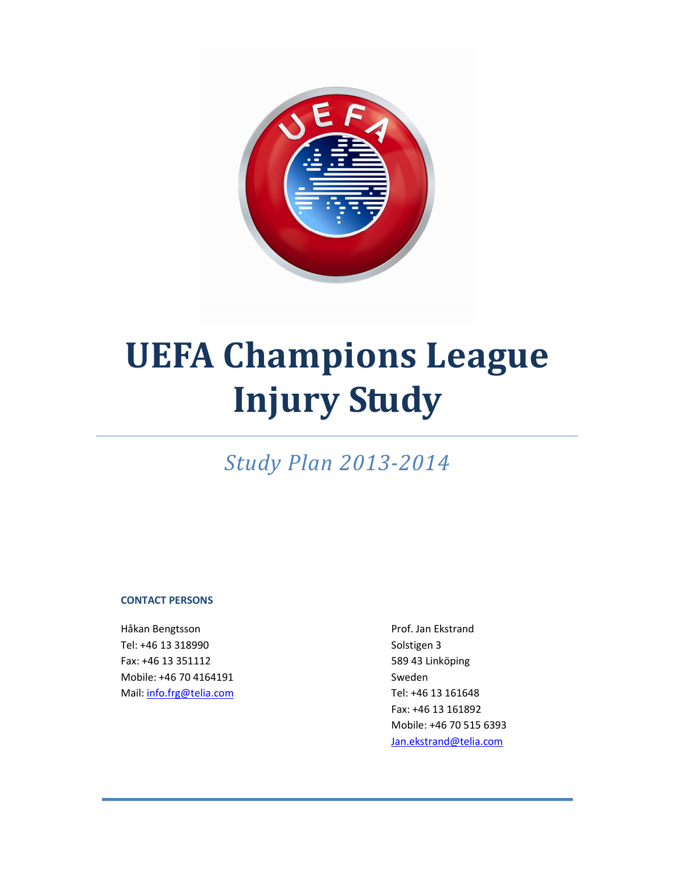

# UEFA Champions League Injury Study

Study Plan 2013-2014

#### CONTACT PERSONS

Håkan Bengtsson andre andre andre andre andre Prof. Jan Ekstrand Tel: +46 13 318990 Solstigen 3 Fax: +46 13 351112 589 43 Linköping Mobile: +46 70 4164191 Sweden Mail:  $\frac{1}{100}$ :  $\frac{1}{100}$  161648

 Fax: +46 13 161892 Mobile: +46 70 515 6393 Jan.ekstrand@telia.com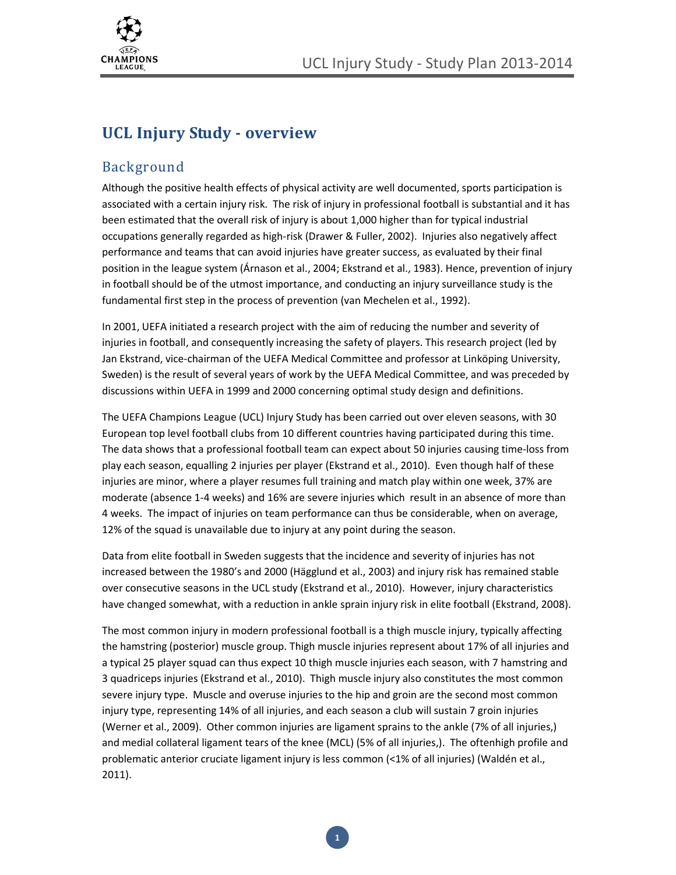

# UCL Injury Study - overview

#### Background

Although the positive health effects of physical activity are well documented, sports participation is associated with a certain injury risk. The risk of injury in professional football is substantial and it has been estimated that the overall risk of injury is about 1,000 higher than for typical industrial occupations generally regarded as high-risk (Drawer & Fuller, 2002). Injuries also negatively affect performance and teams that can avoid injuries have greater success, as evaluated by their final position in the league system (Árnason et al., 2004; Ekstrand et al., 1983). Hence, prevention of injury in football should be of the utmost importance, and conducting an injury surveillance study is the fundamental first step in the process of prevention (van Mechelen et al., 1992).

In 2001, UEFA initiated a research project with the aim of reducing the number and severity of injuries in football, and consequently increasing the safety of players. This research project (led by Jan Ekstrand, vice-chairman of the UEFA Medical Committee and professor at Linköping University, Sweden) is the result of several years of work by the UEFA Medical Committee, and was preceded by discussions within UEFA in 1999 and 2000 concerning optimal study design and definitions.

The UEFA Champions League (UCL) Injury Study has been carried out over eleven seasons, with 30 European top level football clubs from 10 different countries having participated during this time. The data shows that a professional football team can expect about 50 injuries causing time-loss from play each season, equalling 2 injuries per player (Ekstrand et al., 2010). Even though half of these injuries are minor, where a player resumes full training and match play within one week, 37% are moderate (absence 1-4 weeks) and 16% are severe injuries which result in an absence of more than 4 weeks. The impact of injuries on team performance can thus be considerable, when on average, 12% of the squad is unavailable due to injury at any point during the season.

Data from elite football in Sweden suggests that the incidence and severity of injuries has not increased between the 1980's and 2000 (Hägglund et al., 2003) and injury risk has remained stable over consecutive seasons in the UCL study (Ekstrand et al., 2010). However, injury characteristics have changed somewhat, with a reduction in ankle sprain injury risk in elite football (Ekstrand, 2008).

The most common injury in modern professional football is a thigh muscle injury, typically affecting the hamstring (posterior) muscle group. Thigh muscle injuries represent about 17% of all injuries and a typical 25 player squad can thus expect 10 thigh muscle injuries each season, with 7 hamstring and 3 quadriceps injuries (Ekstrand et al., 2010). Thigh muscle injury also constitutes the most common severe injury type. Muscle and overuse injuries to the hip and groin are the second most common injury type, representing 14% of all injuries, and each season a club will sustain 7 groin injuries (Werner et al., 2009). Other common injuries are ligament sprains to the ankle (7% of all injuries,) and medial collateral ligament tears of the knee (MCL) (5% of all injuries,). The oftenhigh profile and problematic anterior cruciate ligament injury is less common (<1% of all injuries) (Waldén et al., 2011).

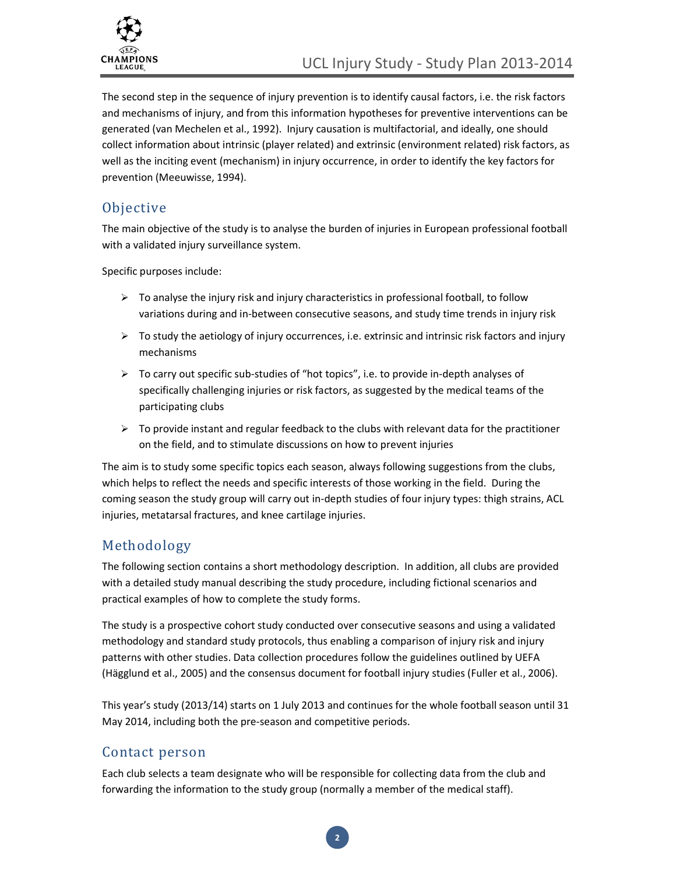

The second step in the sequence of injury prevention is to identify causal factors, i.e. the risk factors and mechanisms of injury, and from this information hypotheses for preventive interventions can be generated (van Mechelen et al., 1992). Injury causation is multifactorial, and ideally, one should collect information about intrinsic (player related) and extrinsic (environment related) risk factors, as well as the inciting event (mechanism) in injury occurrence, in order to identify the key factors for prevention (Meeuwisse, 1994).

#### **Objective**

The main objective of the study is to analyse the burden of injuries in European professional football with a validated injury surveillance system.

Specific purposes include:

- $\triangleright$  To analyse the injury risk and injury characteristics in professional football, to follow variations during and in-between consecutive seasons, and study time trends in injury risk
- $\triangleright$  To study the aetiology of injury occurrences, i.e. extrinsic and intrinsic risk factors and injury mechanisms
- $\triangleright$  To carry out specific sub-studies of "hot topics", i.e. to provide in-depth analyses of specifically challenging injuries or risk factors, as suggested by the medical teams of the participating clubs
- $\triangleright$  To provide instant and regular feedback to the clubs with relevant data for the practitioner on the field, and to stimulate discussions on how to prevent injuries

The aim is to study some specific topics each season, always following suggestions from the clubs, which helps to reflect the needs and specific interests of those working in the field. During the coming season the study group will carry out in-depth studies of four injury types: thigh strains, ACL injuries, metatarsal fractures, and knee cartilage injuries.

# Methodology

The following section contains a short methodology description. In addition, all clubs are provided with a detailed study manual describing the study procedure, including fictional scenarios and practical examples of how to complete the study forms.

The study is a prospective cohort study conducted over consecutive seasons and using a validated methodology and standard study protocols, thus enabling a comparison of injury risk and injury patterns with other studies. Data collection procedures follow the guidelines outlined by UEFA (Hägglund et al., 2005) and the consensus document for football injury studies (Fuller et al., 2006).

This year's study (2013/14) starts on 1 July 2013 and continues for the whole football season until 31 May 2014, including both the pre-season and competitive periods.

#### Contact person

Each club selects a team designate who will be responsible for collecting data from the club and forwarding the information to the study group (normally a member of the medical staff).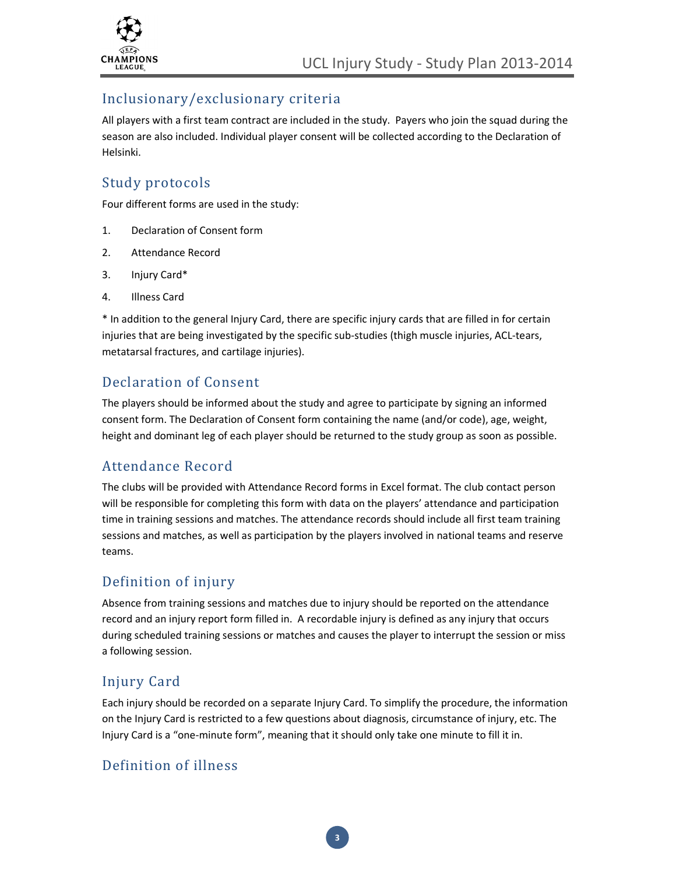

#### Inclusionary/exclusionary criteria

All players with a first team contract are included in the study. Payers who join the squad during the season are also included. Individual player consent will be collected according to the Declaration of Helsinki.

#### Study protocols

Four different forms are used in the study:

- 1. Declaration of Consent form
- 2. Attendance Record
- 3. Injury Card\*
- 4. Illness Card

\* In addition to the general Injury Card, there are specific injury cards that are filled in for certain injuries that are being investigated by the specific sub-studies (thigh muscle injuries, ACL-tears, metatarsal fractures, and cartilage injuries).

#### Declaration of Consent

The players should be informed about the study and agree to participate by signing an informed consent form. The Declaration of Consent form containing the name (and/or code), age, weight, height and dominant leg of each player should be returned to the study group as soon as possible.

#### Attendance Record

The clubs will be provided with Attendance Record forms in Excel format. The club contact person will be responsible for completing this form with data on the players' attendance and participation time in training sessions and matches. The attendance records should include all first team training sessions and matches, as well as participation by the players involved in national teams and reserve teams.

#### Definition of injury

Absence from training sessions and matches due to injury should be reported on the attendance record and an injury report form filled in. A recordable injury is defined as any injury that occurs during scheduled training sessions or matches and causes the player to interrupt the session or miss a following session.

#### Injury Card

Each injury should be recorded on a separate Injury Card. To simplify the procedure, the information on the Injury Card is restricted to a few questions about diagnosis, circumstance of injury, etc. The Injury Card is a "one-minute form", meaning that it should only take one minute to fill it in.

#### Definition of illness

3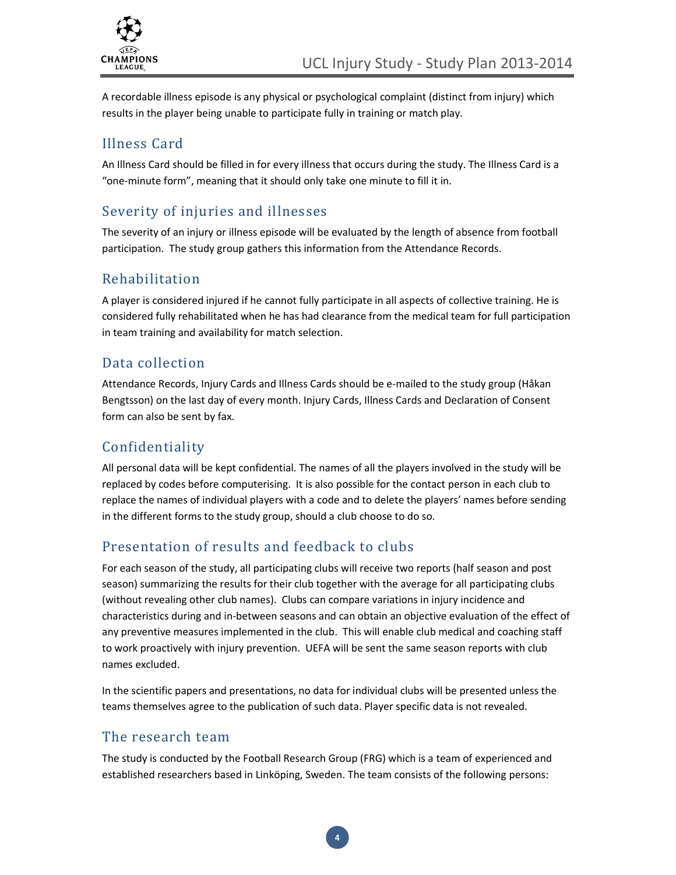

A recordable illness episode is any physical or psychological complaint (distinct from injury) which results in the player being unable to participate fully in training or match play.

### Illness Card

An Illness Card should be filled in for every illness that occurs during the study. The Illness Card is a "one-minute form", meaning that it should only take one minute to fill it in.

# Severity of injuries and illnesses

The severity of an injury or illness episode will be evaluated by the length of absence from football participation. The study group gathers this information from the Attendance Records.

#### Rehabilitation

A player is considered injured if he cannot fully participate in all aspects of collective training. He is considered fully rehabilitated when he has had clearance from the medical team for full participation in team training and availability for match selection.

#### Data collection

Attendance Records, Injury Cards and Illness Cards should be e-mailed to the study group (Håkan Bengtsson) on the last day of every month. Injury Cards, Illness Cards and Declaration of Consent form can also be sent by fax.

# Confidentiality

All personal data will be kept confidential. The names of all the players involved in the study will be replaced by codes before computerising. It is also possible for the contact person in each club to replace the names of individual players with a code and to delete the players' names before sending in the different forms to the study group, should a club choose to do so.

# Presentation of results and feedback to clubs

For each season of the study, all participating clubs will receive two reports (half season and post season) summarizing the results for their club together with the average for all participating clubs (without revealing other club names). Clubs can compare variations in injury incidence and characteristics during and in-between seasons and can obtain an objective evaluation of the effect of any preventive measures implemented in the club. This will enable club medical and coaching staff to work proactively with injury prevention. UEFA will be sent the same season reports with club names excluded.

In the scientific papers and presentations, no data for individual clubs will be presented unless the teams themselves agree to the publication of such data. Player specific data is not revealed.

#### The research team

The study is conducted by the Football Research Group (FRG) which is a team of experienced and established researchers based in Linköping, Sweden. The team consists of the following persons: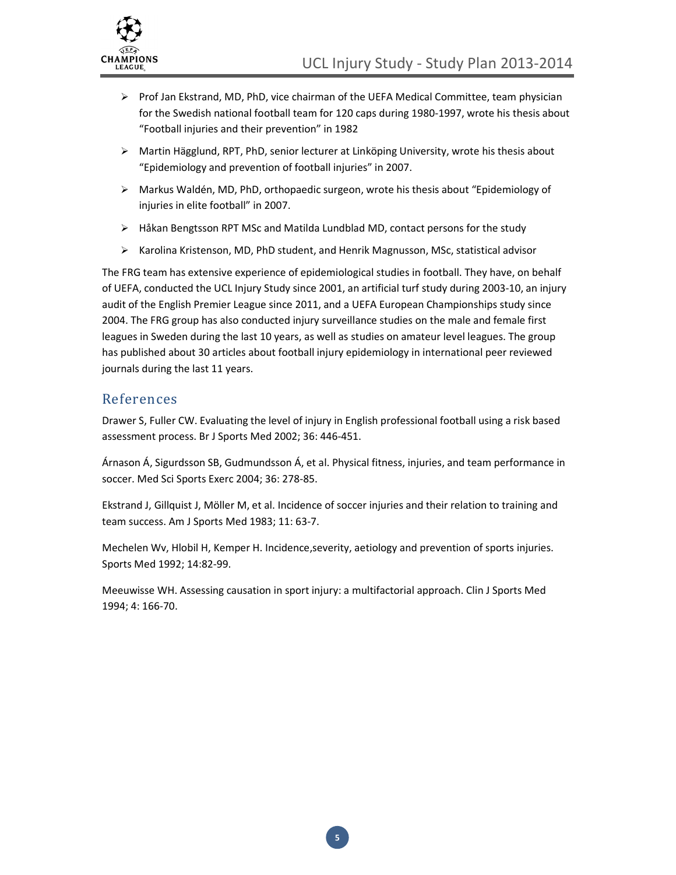

- $\triangleright$  Prof Jan Ekstrand, MD, PhD, vice chairman of the UEFA Medical Committee, team physician for the Swedish national football team for 120 caps during 1980-1997, wrote his thesis about "Football injuries and their prevention" in 1982
- Martin Hägglund, RPT, PhD, senior lecturer at Linköping University, wrote his thesis about "Epidemiology and prevention of football injuries" in 2007.
- Markus Waldén, MD, PhD, orthopaedic surgeon, wrote his thesis about "Epidemiology of injuries in elite football" in 2007.
- $\triangleright$  Håkan Bengtsson RPT MSc and Matilda Lundblad MD, contact persons for the study
- $\triangleright$  Karolina Kristenson, MD, PhD student, and Henrik Magnusson, MSc, statistical advisor

The FRG team has extensive experience of epidemiological studies in football. They have, on behalf of UEFA, conducted the UCL Injury Study since 2001, an artificial turf study during 2003-10, an injury audit of the English Premier League since 2011, and a UEFA European Championships study since 2004. The FRG group has also conducted injury surveillance studies on the male and female first leagues in Sweden during the last 10 years, as well as studies on amateur level leagues. The group has published about 30 articles about football injury epidemiology in international peer reviewed journals during the last 11 years.

#### References

Drawer S, Fuller CW. Evaluating the level of injury in English professional football using a risk based assessment process. Br J Sports Med 2002; 36: 446-451.

Árnason Á, Sigurdsson SB, Gudmundsson Á, et al. Physical fitness, injuries, and team performance in soccer. Med Sci Sports Exerc 2004; 36: 278-85.

Ekstrand J, Gillquist J, Möller M, et al. Incidence of soccer injuries and their relation to training and team success. Am J Sports Med 1983; 11: 63-7.

Mechelen Wv, Hlobil H, Kemper H. Incidence,severity, aetiology and prevention of sports injuries. Sports Med 1992; 14:82-99.

Meeuwisse WH. Assessing causation in sport injury: a multifactorial approach. Clin J Sports Med 1994; 4: 166-70.

5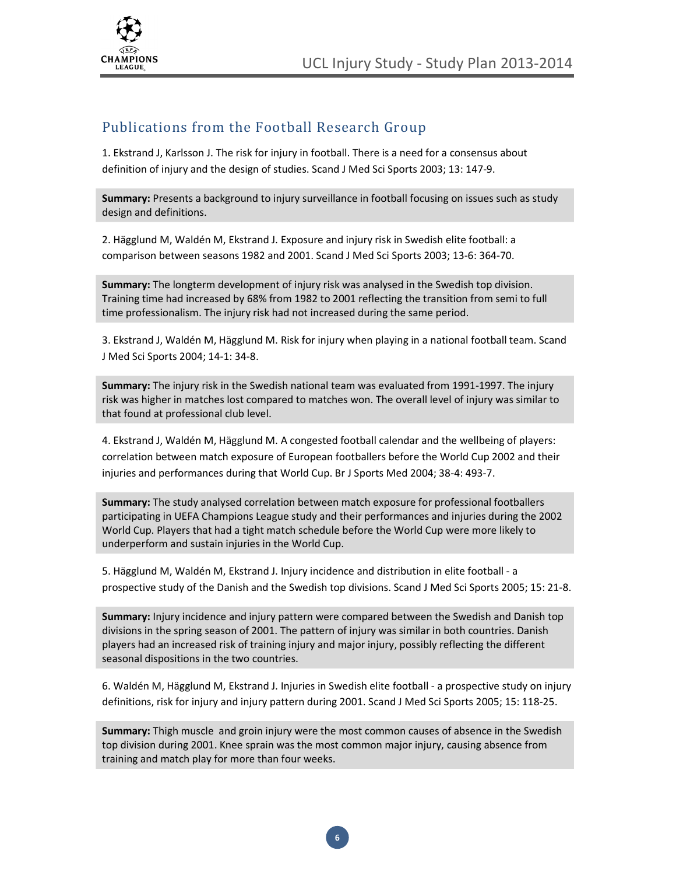



#### Publications from the Football Research Group

1. Ekstrand J, Karlsson J. The risk for injury in football. There is a need for a consensus about definition of injury and the design of studies. Scand J Med Sci Sports 2003; 13: 147-9.

Summary: Presents a background to injury surveillance in football focusing on issues such as study design and definitions.

2. Hägglund M, Waldén M, Ekstrand J. Exposure and injury risk in Swedish elite football: a comparison between seasons 1982 and 2001. Scand J Med Sci Sports 2003; 13-6: 364-70.

Summary: The longterm development of injury risk was analysed in the Swedish top division. Training time had increased by 68% from 1982 to 2001 reflecting the transition from semi to full time professionalism. The injury risk had not increased during the same period.

3. Ekstrand J, Waldén M, Hägglund M. Risk for injury when playing in a national football team. Scand J Med Sci Sports 2004; 14-1: 34-8.

Summary: The injury risk in the Swedish national team was evaluated from 1991-1997. The injury risk was higher in matches lost compared to matches won. The overall level of injury was similar to that found at professional club level.

4. Ekstrand J, Waldén M, Hägglund M. A congested football calendar and the wellbeing of players: correlation between match exposure of European footballers before the World Cup 2002 and their injuries and performances during that World Cup. Br J Sports Med 2004; 38-4: 493-7.

Summary: The study analysed correlation between match exposure for professional footballers participating in UEFA Champions League study and their performances and injuries during the 2002 World Cup. Players that had a tight match schedule before the World Cup were more likely to underperform and sustain injuries in the World Cup.

5. Hägglund M, Waldén M, Ekstrand J. Injury incidence and distribution in elite football - a prospective study of the Danish and the Swedish top divisions. Scand J Med Sci Sports 2005; 15: 21-8.

Summary: Injury incidence and injury pattern were compared between the Swedish and Danish top divisions in the spring season of 2001. The pattern of injury was similar in both countries. Danish players had an increased risk of training injury and major injury, possibly reflecting the different seasonal dispositions in the two countries.

6. Waldén M, Hägglund M, Ekstrand J. Injuries in Swedish elite football - a prospective study on injury definitions, risk for injury and injury pattern during 2001. Scand J Med Sci Sports 2005; 15: 118-25.

Summary: Thigh muscle and groin injury were the most common causes of absence in the Swedish top division during 2001. Knee sprain was the most common major injury, causing absence from training and match play for more than four weeks.

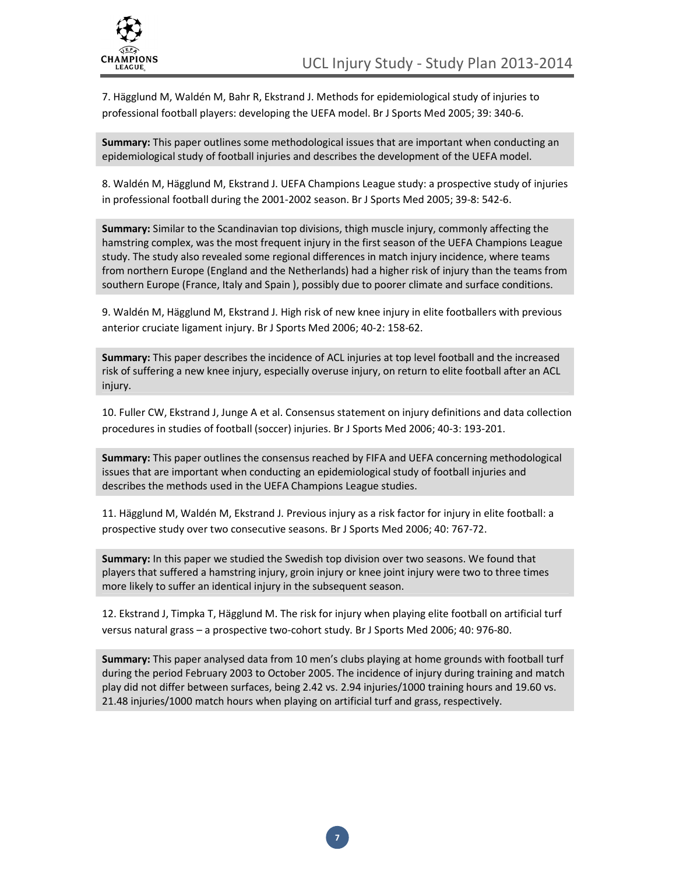

7. Hägglund M, Waldén M, Bahr R, Ekstrand J. Methods for epidemiological study of injuries to professional football players: developing the UEFA model. Br J Sports Med 2005; 39: 340-6.

Summary: This paper outlines some methodological issues that are important when conducting an epidemiological study of football injuries and describes the development of the UEFA model.

8. Waldén M, Hägglund M, Ekstrand J. UEFA Champions League study: a prospective study of injuries in professional football during the 2001-2002 season. Br J Sports Med 2005; 39-8: 542-6.

Summary: Similar to the Scandinavian top divisions, thigh muscle injury, commonly affecting the hamstring complex, was the most frequent injury in the first season of the UEFA Champions League study. The study also revealed some regional differences in match injury incidence, where teams from northern Europe (England and the Netherlands) had a higher risk of injury than the teams from southern Europe (France, Italy and Spain ), possibly due to poorer climate and surface conditions.

9. Waldén M, Hägglund M, Ekstrand J. High risk of new knee injury in elite footballers with previous anterior cruciate ligament injury. Br J Sports Med 2006; 40-2: 158-62.

Summary: This paper describes the incidence of ACL injuries at top level football and the increased risk of suffering a new knee injury, especially overuse injury, on return to elite football after an ACL injury.

10. Fuller CW, Ekstrand J, Junge A et al. Consensus statement on injury definitions and data collection procedures in studies of football (soccer) injuries. Br J Sports Med 2006; 40-3: 193-201.

Summary: This paper outlines the consensus reached by FIFA and UEFA concerning methodological issues that are important when conducting an epidemiological study of football injuries and describes the methods used in the UEFA Champions League studies.

11. Hägglund M, Waldén M, Ekstrand J. Previous injury as a risk factor for injury in elite football: a prospective study over two consecutive seasons. Br J Sports Med 2006; 40: 767-72.

Summary: In this paper we studied the Swedish top division over two seasons. We found that players that suffered a hamstring injury, groin injury or knee joint injury were two to three times more likely to suffer an identical injury in the subsequent season.

12. Ekstrand J, Timpka T, Hägglund M. The risk for injury when playing elite football on artificial turf versus natural grass – a prospective two-cohort study. Br J Sports Med 2006; 40: 976-80.

Summary: This paper analysed data from 10 men's clubs playing at home grounds with football turf during the period February 2003 to October 2005. The incidence of injury during training and match play did not differ between surfaces, being 2.42 vs. 2.94 injuries/1000 training hours and 19.60 vs. 21.48 injuries/1000 match hours when playing on artificial turf and grass, respectively.

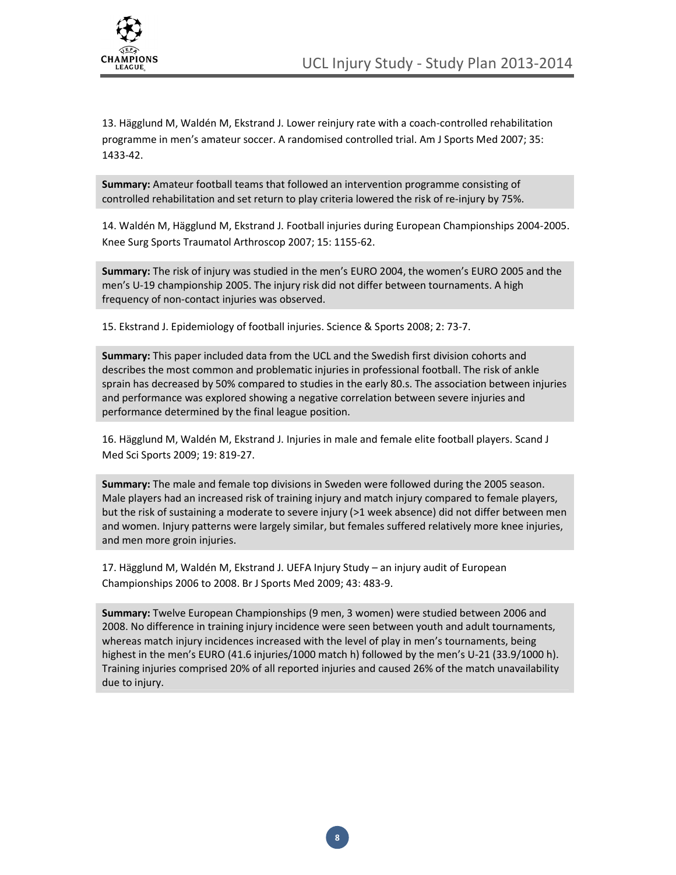

13. Hägglund M, Waldén M, Ekstrand J. Lower reinjury rate with a coach-controlled rehabilitation programme in men's amateur soccer. A randomised controlled trial. Am J Sports Med 2007; 35: 1433-42.

Summary: Amateur football teams that followed an intervention programme consisting of controlled rehabilitation and set return to play criteria lowered the risk of re-injury by 75%.

14. Waldén M, Hägglund M, Ekstrand J. Football injuries during European Championships 2004-2005. Knee Surg Sports Traumatol Arthroscop 2007; 15: 1155-62.

Summary: The risk of injury was studied in the men's EURO 2004, the women's EURO 2005 and the men's U-19 championship 2005. The injury risk did not differ between tournaments. A high frequency of non-contact injuries was observed.

15. Ekstrand J. Epidemiology of football injuries. Science & Sports 2008; 2: 73-7.

Summary: This paper included data from the UCL and the Swedish first division cohorts and describes the most common and problematic injuries in professional football. The risk of ankle sprain has decreased by 50% compared to studies in the early 80.s. The association between injuries and performance was explored showing a negative correlation between severe injuries and performance determined by the final league position.

16. Hägglund M, Waldén M, Ekstrand J. Injuries in male and female elite football players. Scand J Med Sci Sports 2009; 19: 819-27.

Summary: The male and female top divisions in Sweden were followed during the 2005 season. Male players had an increased risk of training injury and match injury compared to female players, but the risk of sustaining a moderate to severe injury (>1 week absence) did not differ between men and women. Injury patterns were largely similar, but females suffered relatively more knee injuries, and men more groin injuries.

17. Hägglund M, Waldén M, Ekstrand J. UEFA Injury Study – an injury audit of European Championships 2006 to 2008. Br J Sports Med 2009; 43: 483-9.

Summary: Twelve European Championships (9 men, 3 women) were studied between 2006 and 2008. No difference in training injury incidence were seen between youth and adult tournaments, whereas match injury incidences increased with the level of play in men's tournaments, being highest in the men's EURO (41.6 injuries/1000 match h) followed by the men's U-21 (33.9/1000 h). Training injuries comprised 20% of all reported injuries and caused 26% of the match unavailability due to injury.

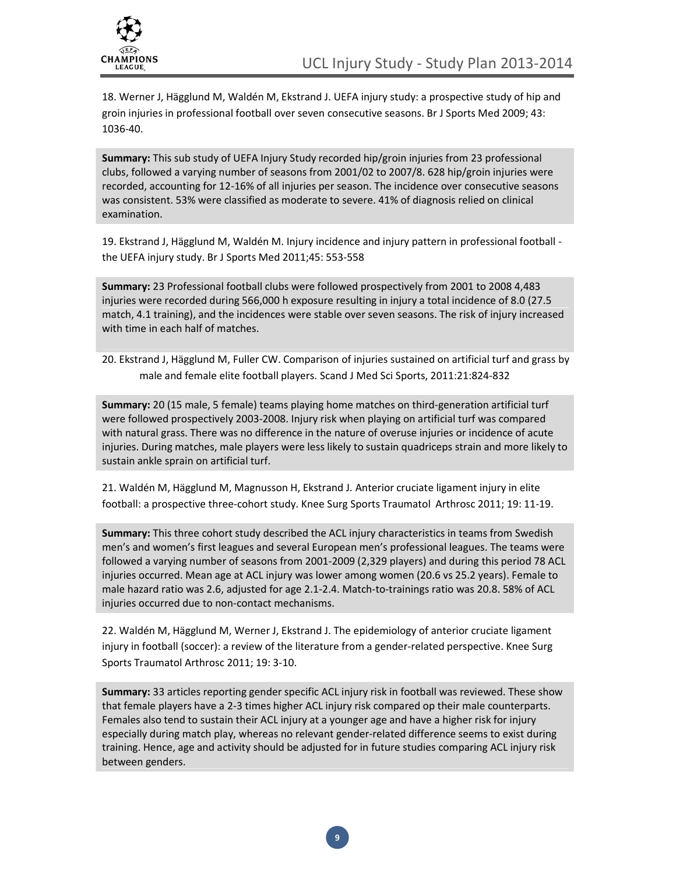

18. Werner J, Hägglund M, Waldén M, Ekstrand J. UEFA injury study: a prospective study of hip and groin injuries in professional football over seven consecutive seasons. Br J Sports Med 2009; 43: 1036-40.

Summary: This sub study of UEFA Injury Study recorded hip/groin injuries from 23 professional clubs, followed a varying number of seasons from 2001/02 to 2007/8. 628 hip/groin injuries were recorded, accounting for 12-16% of all injuries per season. The incidence over consecutive seasons was consistent. 53% were classified as moderate to severe. 41% of diagnosis relied on clinical examination.

19. Ekstrand J, Hägglund M, Waldén M. Injury incidence and injury pattern in professional football the UEFA injury study. Br J Sports Med 2011;45: 553-558

Summary: 23 Professional football clubs were followed prospectively from 2001 to 2008 4,483 injuries were recorded during 566,000 h exposure resulting in injury a total incidence of 8.0 (27.5 match, 4.1 training), and the incidences were stable over seven seasons. The risk of injury increased with time in each half of matches.

20. Ekstrand J, Hägglund M, Fuller CW. Comparison of injuries sustained on artificial turf and grass by male and female elite football players. Scand J Med Sci Sports, 2011:21:824-832

Summary: 20 (15 male, 5 female) teams playing home matches on third-generation artificial turf were followed prospectively 2003-2008. Injury risk when playing on artificial turf was compared with natural grass. There was no difference in the nature of overuse injuries or incidence of acute injuries. During matches, male players were less likely to sustain quadriceps strain and more likely to sustain ankle sprain on artificial turf.

21. Waldén M, Hägglund M, Magnusson H, Ekstrand J. Anterior cruciate ligament injury in elite football: a prospective three-cohort study. Knee Surg Sports Traumatol Arthrosc 2011; 19: 11-19.

Summary: This three cohort study described the ACL injury characteristics in teams from Swedish men's and women's first leagues and several European men's professional leagues. The teams were followed a varying number of seasons from 2001-2009 (2,329 players) and during this period 78 ACL injuries occurred. Mean age at ACL injury was lower among women (20.6 vs 25.2 years). Female to male hazard ratio was 2.6, adjusted for age 2.1-2.4. Match-to-trainings ratio was 20.8. 58% of ACL injuries occurred due to non-contact mechanisms.

22. Waldén M, Hägglund M, Werner J, Ekstrand J. The epidemiology of anterior cruciate ligament injury in football (soccer): a review of the literature from a gender-related perspective. Knee Surg Sports Traumatol Arthrosc 2011; 19: 3-10.

Summary: 33 articles reporting gender specific ACL injury risk in football was reviewed. These show that female players have a 2-3 times higher ACL injury risk compared op their male counterparts. Females also tend to sustain their ACL injury at a younger age and have a higher risk for injury especially during match play, whereas no relevant gender-related difference seems to exist during training. Hence, age and activity should be adjusted for in future studies comparing ACL injury risk between genders.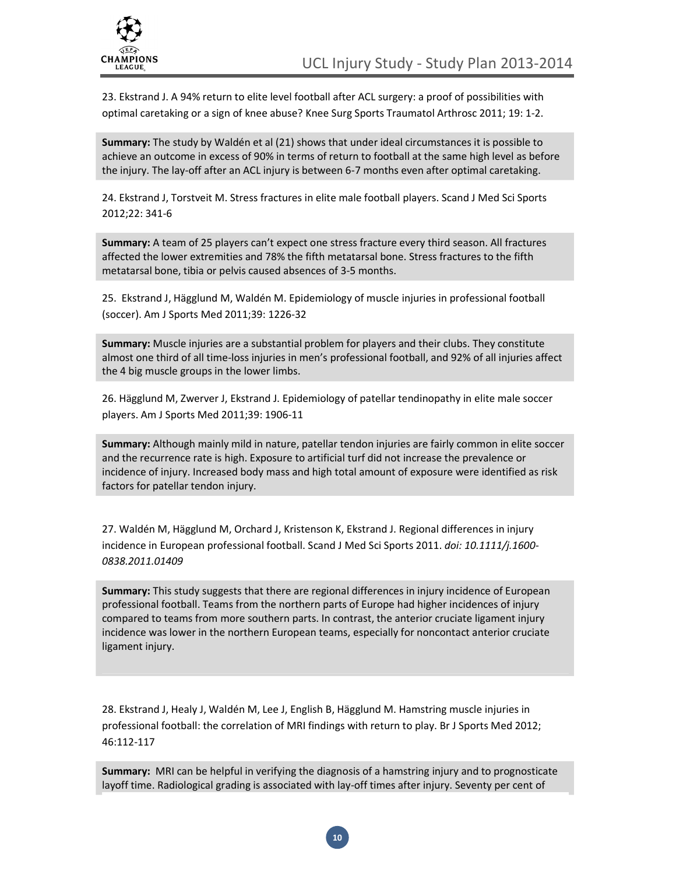

23. Ekstrand J. A 94% return to elite level football after ACL surgery: a proof of possibilities with optimal caretaking or a sign of knee abuse? Knee Surg Sports Traumatol Arthrosc 2011; 19: 1-2.

Summary: The study by Waldén et al (21) shows that under ideal circumstances it is possible to achieve an outcome in excess of 90% in terms of return to football at the same high level as before the injury. The lay-off after an ACL injury is between 6-7 months even after optimal caretaking.

24. Ekstrand J, Torstveit M. Stress fractures in elite male football players. Scand J Med Sci Sports 2012;22: 341-6

Summary: A team of 25 players can't expect one stress fracture every third season. All fractures affected the lower extremities and 78% the fifth metatarsal bone. Stress fractures to the fifth metatarsal bone, tibia or pelvis caused absences of 3-5 months.

25. Ekstrand J, Hägglund M, Waldén M. Epidemiology of muscle injuries in professional football (soccer). Am J Sports Med 2011;39: 1226-32

Summary: Muscle injuries are a substantial problem for players and their clubs. They constitute almost one third of all time-loss injuries in men's professional football, and 92% of all injuries affect the 4 big muscle groups in the lower limbs.

26. Hägglund M, Zwerver J, Ekstrand J. Epidemiology of patellar tendinopathy in elite male soccer players. Am J Sports Med 2011;39: 1906-11

Summary: Although mainly mild in nature, patellar tendon injuries are fairly common in elite soccer and the recurrence rate is high. Exposure to artificial turf did not increase the prevalence or incidence of injury. Increased body mass and high total amount of exposure were identified as risk factors for patellar tendon injury.

27. Waldén M, Hägglund M, Orchard J, Kristenson K, Ekstrand J. Regional differences in injury incidence in European professional football. Scand J Med Sci Sports 2011. doi: 10.1111/j.1600- 0838.2011.01409

Summary: This study suggests that there are regional differences in injury incidence of European professional football. Teams from the northern parts of Europe had higher incidences of injury compared to teams from more southern parts. In contrast, the anterior cruciate ligament injury incidence was lower in the northern European teams, especially for noncontact anterior cruciate ligament injury.

28. Ekstrand J, Healy J, Waldén M, Lee J, English B, Hägglund M. Hamstring muscle injuries in professional football: the correlation of MRI findings with return to play. Br J Sports Med 2012; 46:112-117

Summary: MRI can be helpful in verifying the diagnosis of a hamstring injury and to prognosticate layoff time. Radiological grading is associated with lay-off times after injury. Seventy per cent of